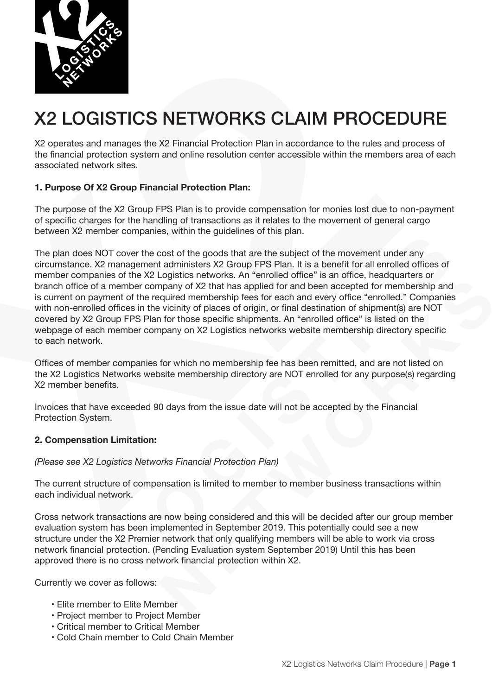

# X2 LOGISTICS NETWORKS CLAIM PROCEDURE

X2 operates and manages the X2 Financial Protection Plan in accordance to the rules and process of the financial protection system and online resolution center accessible within the members area of each associated network sites.

# **1. Purpose Of X2 Group Financial Protection Plan:**

The purpose of the X2 Group FPS Plan is to provide compensation for monies lost due to non-payment of specific charges for the handling of transactions as it relates to the movement of general cargo between X2 member companies, within the guidelines of this plan.

The plan does NOT cover the cost of the goods that are the subject of the movement under any circumstance. X2 management administers X2 Group FPS Plan. It is a benefit for all enrolled offices of member companies of the X2 Logistics networks. An "enrolled office" is an office, headquarters or branch office of a member company of X2 that has applied for and been accepted for membership and is current on payment of the required membership fees for each and every office "enrolled." Companies with non-enrolled offices in the vicinity of places of origin, or final destination of shipment(s) are NOT covered by X2 Group FPS Plan for those specific shipments. An "enrolled office" is listed on the webpage of each member company on X2 Logistics networks website membership directory specific to each network.

Offices of member companies for which no membership fee has been remitted, and are not listed on the X2 Logistics Networks website membership directory are NOT enrolled for any purpose(s) regarding X2 member benefits.

Invoices that have exceeded 90 days from the issue date will not be accepted by the Financial Protection System.

# **2. Compensation Limitation:**

### *(Please see X2 Logistics Networks Financial Protection Plan)*

The current structure of compensation is limited to member to member business transactions within each individual network.

Cross network transactions are now being considered and this will be decided after our group member evaluation system has been implemented in September 2019. This potentially could see a new structure under the X2 Premier network that only qualifying members will be able to work via cross network financial protection. (Pending Evaluation system September 2019) Until this has been approved there is no cross network financial protection within X2.

Currently we cover as follows:

- Elite member to Elite Member
- Project member to Project Member
- Critical member to Critical Member
- Cold Chain member to Cold Chain Member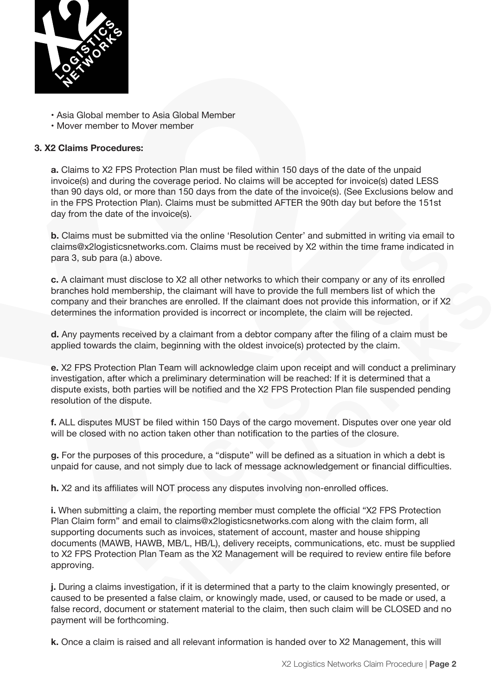

- Asia Global member to Asia Global Member
- Mover member to Mover member

## **3. X2 Claims Procedures:**

**a.** Claims to X2 FPS Protection Plan must be filed within 150 days of the date of the unpaid invoice(s) and during the coverage period. No claims will be accepted for invoice(s) dated LESS than 90 days old, or more than 150 days from the date of the invoice(s). (See Exclusions below and in the FPS Protection Plan). Claims must be submitted AFTER the 90th day but before the 151st day from the date of the invoice(s).

**b.** Claims must be submitted via the online 'Resolution Center' and submitted in writing via email to claims@x2logisticsnetworks.com. Claims must be received by X2 within the time frame indicated in para 3, sub para (a.) above.

**c.** A claimant must disclose to X2 all other networks to which their company or any of its enrolled branches hold membership, the claimant will have to provide the full members list of which the company and their branches are enrolled. If the claimant does not provide this information, or if X2 determines the information provided is incorrect or incomplete, the claim will be rejected.

**d.** Any payments received by a claimant from a debtor company after the filing of a claim must be applied towards the claim, beginning with the oldest invoice(s) protected by the claim.

**e.** X2 FPS Protection Plan Team will acknowledge claim upon receipt and will conduct a preliminary investigation, after which a preliminary determination will be reached: If it is determined that a dispute exists, both parties will be notified and the X2 FPS Protection Plan file suspended pending resolution of the dispute.

**f.** ALL disputes MUST be filed within 150 Days of the cargo movement. Disputes over one year old will be closed with no action taken other than notification to the parties of the closure.

**g.** For the purposes of this procedure, a "dispute" will be defined as a situation in which a debt is unpaid for cause, and not simply due to lack of message acknowledgement or financial difficulties.

**h.** X2 and its affiliates will NOT process any disputes involving non-enrolled offices.

**i.** When submitting a claim, the reporting member must complete the official "X2 FPS Protection Plan Claim form" and email to claims@x2logisticsnetworks.com along with the claim form, all supporting documents such as invoices, statement of account, master and house shipping documents (MAWB, HAWB, MB/L, HB/L), delivery receipts, communications, etc. must be supplied to X2 FPS Protection Plan Team as the X2 Management will be required to review entire file before approving.

**j.** During a claims investigation, if it is determined that a party to the claim knowingly presented, or caused to be presented a false claim, or knowingly made, used, or caused to be made or used, a false record, document or statement material to the claim, then such claim will be CLOSED and no payment will be forthcoming.

**k.** Once a claim is raised and all relevant information is handed over to X2 Management, this will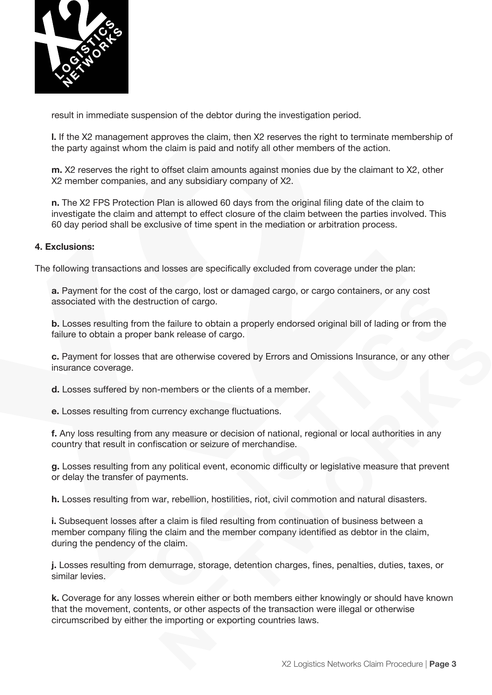

result in immediate suspension of the debtor during the investigation period.

**l.** If the X2 management approves the claim, then X2 reserves the right to terminate membership of the party against whom the claim is paid and notify all other members of the action.

**m.** X2 reserves the right to offset claim amounts against monies due by the claimant to X2, other X2 member companies, and any subsidiary company of X2.

**n.** The X2 FPS Protection Plan is allowed 60 days from the original filing date of the claim to investigate the claim and attempt to effect closure of the claim between the parties involved. This 60 day period shall be exclusive of time spent in the mediation or arbitration process.

#### **4. Exclusions:**

The following transactions and losses are specifically excluded from coverage under the plan:

**a.** Payment for the cost of the cargo, lost or damaged cargo, or cargo containers, or any cost associated with the destruction of cargo.

**b.** Losses resulting from the failure to obtain a properly endorsed original bill of lading or from the failure to obtain a proper bank release of cargo.

**c.** Payment for losses that are otherwise covered by Errors and Omissions Insurance, or any other insurance coverage.

**d.** Losses suffered by non-members or the clients of a member.

**e.** Losses resulting from currency exchange fluctuations.

**f.** Any loss resulting from any measure or decision of national, regional or local authorities in any country that result in confiscation or seizure of merchandise.

**g.** Losses resulting from any political event, economic difficulty or legislative measure that prevent or delay the transfer of payments.

**h.** Losses resulting from war, rebellion, hostilities, riot, civil commotion and natural disasters.

**i.** Subsequent losses after a claim is filed resulting from continuation of business between a member company filing the claim and the member company identified as debtor in the claim, during the pendency of the claim.

**j.** Losses resulting from demurrage, storage, detention charges, fines, penalties, duties, taxes, or similar levies.

**k.** Coverage for any losses wherein either or both members either knowingly or should have known that the movement, contents, or other aspects of the transaction were illegal or otherwise circumscribed by either the importing or exporting countries laws.